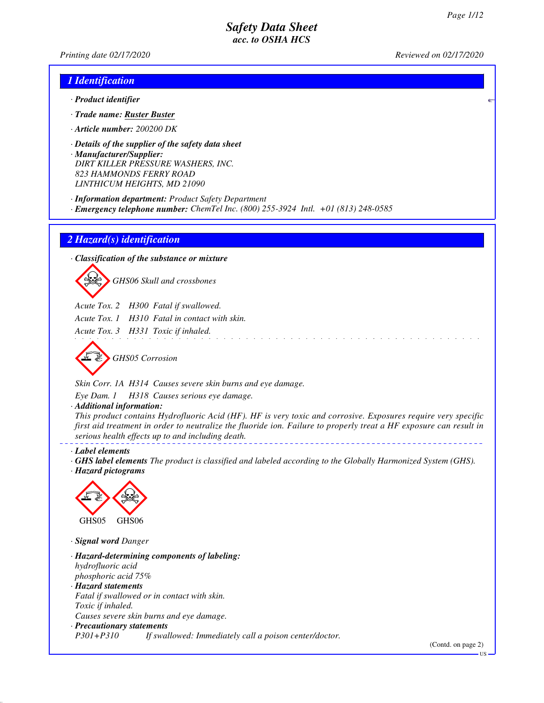*Printing date 02/17/2020 Reviewed on 02/17/2020*

### *1 Identification*

- *· Product identifier*
- *· Trade name: Ruster Buster*
- *· Article number: 200200 DK*
- *· Details of the supplier of the safety data sheet · Manufacturer/Supplier: DIRT KILLER PRESSURE WASHERS, INC. 823 HAMMONDS FERRY ROAD LINTHICUM HEIGHTS, MD 21090*
- *· Information department: Product Safety Department*
- *· Emergency telephone number: ChemTel Inc. (800) 255-3924 Intl. +01 (813) 248-0585*

### *2 Hazard(s) identification*

*· Classification of the substance or mixture*

d~*GHS06 Skull and crossbones*

- *Acute Tox. 2 H300 Fatal if swallowed.*
- *Acute Tox. 1 H310 Fatal in contact with skin.*

*Acute Tox. 3 H331 Toxic if inhaled.*



*Skin Corr. 1A H314 Causes severe skin burns and eye damage.*

*Eye Dam. 1 H318 Causes serious eye damage.*

*· Additional information:*

*This product contains Hydrofluoric Acid (HF). HF is very toxic and corrosive. Exposures require very specific first aid treatment in order to neutralize the fluoride ion. Failure to properly treat a HF exposure can result in serious health effects up to and including death.*

*· Label elements*

*· GHS label elements The product is classified and labeled according to the Globally Harmonized System (GHS). · Hazard pictograms*



*· Signal word Danger*

*· Hazard-determining components of labeling: hydrofluoric acid phosphoric acid 75% · Hazard statements Fatal if swallowed or in contact with skin. Toxic if inhaled. Causes severe skin burns and eye damage. · Precautionary statements P301+P310 If swallowed: Immediately call a poison center/doctor.*

(Contd. on page 2)

US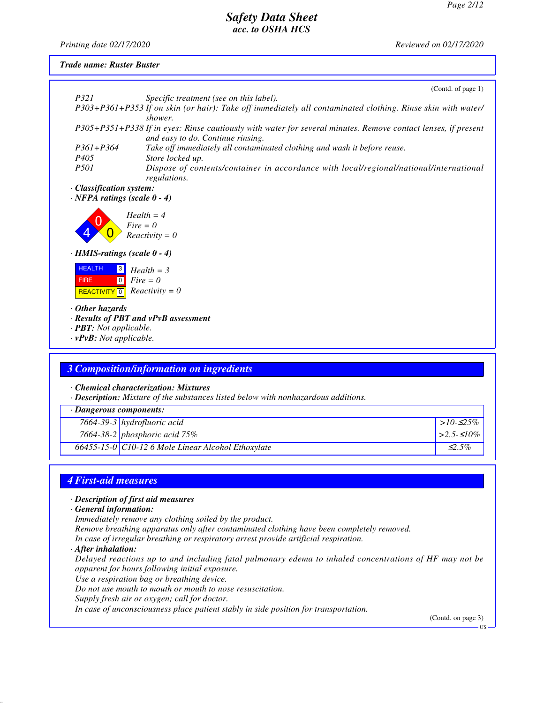*Printing date 02/17/2020 Reviewed on 02/17/2020*

#### *Trade name: Ruster Buster*

|                                                                                                | (Contd. of page 1)                                                                                                                                 |
|------------------------------------------------------------------------------------------------|----------------------------------------------------------------------------------------------------------------------------------------------------|
| <i>P321</i>                                                                                    | Specific treatment (see on this label).                                                                                                            |
|                                                                                                | P303+P361+P353 If on skin (or hair): Take off immediately all contaminated clothing. Rinse skin with water/<br>shower.                             |
|                                                                                                | P305+P351+P338 If in eyes: Rinse cautiously with water for several minutes. Remove contact lenses, if present<br>and easy to do. Continue rinsing. |
| $P361 + P364$                                                                                  | Take off immediately all contaminated clothing and wash it before reuse.                                                                           |
| P <sub>405</sub>                                                                               | Store locked up.                                                                                                                                   |
| <i>P501</i>                                                                                    | Dispose of contents/container in accordance with local/regional/national/international<br>regulations.                                             |
| · Classification system:                                                                       |                                                                                                                                                    |
| $\cdot$ NFPA ratings (scale 0 - 4)                                                             |                                                                                                                                                    |
|                                                                                                | $Health = 4$<br>$Fire = 0$<br>$Reactivity = 0$                                                                                                     |
| $\cdot$ HMIS-ratings (scale 0 - 4)                                                             |                                                                                                                                                    |
| <b>HEALTH</b><br>$\vert 3 \vert$<br><b>FIRE</b><br><b>REACTIVITY</b><br>$\boxed{0}$            | $Health = 3$<br>$\begin{bmatrix} 0 \\ \end{bmatrix}$ Fire = 0<br>$Reactivity = 0$                                                                  |
| $\cdot$ Other hazards<br>$\cdot$ <b>PBT</b> : Not applicable.<br>$\cdot$ vPvB: Not applicable. | $\cdot$ Results of PBT and $vPvB$ assessment                                                                                                       |
|                                                                                                |                                                                                                                                                    |
|                                                                                                |                                                                                                                                                    |

### *3 Composition/information on ingredients*

*· Chemical characterization: Mixtures*

*· Description: Mixture of the substances listed below with nonhazardous additions.*

| · Dangerous components: |                                                          |                    |
|-------------------------|----------------------------------------------------------|--------------------|
|                         | $7664 - 39 - 3$ hydrofluoric acid                        | $>10-525\%$        |
|                         | 7664-38-2 phosphoric acid $75\%$                         | $\geq 2.5 - 510\%$ |
|                         | $66455 - 15 - 0$ C10-12 6 Mole Linear Alcohol Ethoxylate | $\leq$ 5%          |

### *4 First-aid measures*

#### *· Description of first aid measures*

*· General information:*

*Immediately remove any clothing soiled by the product.*

*Remove breathing apparatus only after contaminated clothing have been completely removed.*

*In case of irregular breathing or respiratory arrest provide artificial respiration.*

#### *· After inhalation:*

*Delayed reactions up to and including fatal pulmonary edema to inhaled concentrations of HF may not be apparent for hours following initial exposure.*

*Use a respiration bag or breathing device.*

*Do not use mouth to mouth or mouth to nose resuscitation.*

*Supply fresh air or oxygen; call for doctor.*

*In case of unconsciousness place patient stably in side position for transportation.*

(Contd. on page 3)

US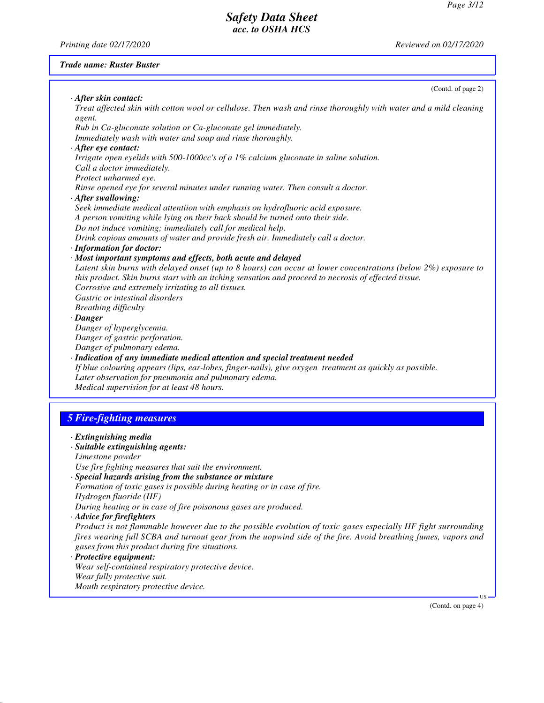*Printing date 02/17/2020 Reviewed on 02/17/2020*

### *Trade name: Ruster Buster*

| · After skin contact:<br>Treat affected skin with cotton wool or cellulose. Then wash and rinse thoroughly with water and a mild cleaning |        |
|-------------------------------------------------------------------------------------------------------------------------------------------|--------|
| agent.                                                                                                                                    |        |
| Rub in Ca-gluconate solution or Ca-gluconate gel immediately.                                                                             |        |
| Immediately wash with water and soap and rinse thoroughly.                                                                                |        |
| · After eye contact:                                                                                                                      |        |
| Irrigate open eyelids with 500-1000cc's of a 1% calcium gluconate in saline solution.                                                     |        |
| Call a doctor immediately.                                                                                                                |        |
| Protect unharmed eye.                                                                                                                     |        |
| Rinse opened eye for several minutes under running water. Then consult a doctor.                                                          |        |
| · After swallowing:<br>Seek immediate medical attentiion with emphasis on hydrofluoric acid exposure.                                     |        |
| A person vomiting while lying on their back should be turned onto their side.                                                             |        |
| Do not induce vomiting; immediately call for medical help.                                                                                |        |
| Drink copious amounts of water and provide fresh air. Immediately call a doctor.                                                          |        |
| · Information for doctor:                                                                                                                 |        |
| · Most important symptoms and effects, both acute and delayed                                                                             |        |
| Latent skin burns with delayed onset (up to 8 hours) can occur at lower concentrations (below 2%) exposure to                             |        |
| this product. Skin burns start with an itching sensation and proceed to necrosis of effected tissue.                                      |        |
| Corrosive and extremely irritating to all tissues.                                                                                        |        |
| Gastric or intestinal disorders                                                                                                           |        |
| <b>Breathing difficulty</b>                                                                                                               |        |
| · Danger                                                                                                                                  |        |
| Danger of hyperglycemia.                                                                                                                  |        |
| Danger of gastric perforation.                                                                                                            |        |
| Danger of pulmonary edema.                                                                                                                |        |
| · Indication of any immediate medical attention and special treatment needed                                                              |        |
| If blue colouring appears (lips, ear-lobes, finger-nails), give oxygen treatment as quickly as possible.                                  |        |
| Later observation for pneumonia and pulmonary edema.<br>Medical supervision for at least 48 hours.                                        |        |
|                                                                                                                                           |        |
|                                                                                                                                           |        |
| <b>5 Fire-fighting measures</b>                                                                                                           |        |
| · Extinguishing media                                                                                                                     |        |
| · Suitable extinguishing agents:                                                                                                          |        |
| Limestone powder                                                                                                                          |        |
| Use fire fighting measures that suit the environment.                                                                                     |        |
| · Special hazards arising from the substance or mixture                                                                                   |        |
| Formation of toxic gases is possible during heating or in case of fire.                                                                   |        |
| Hydrogen fluoride (HF)                                                                                                                    |        |
| During heating or in case of fire poisonous gases are produced.                                                                           |        |
| · Advice for firefighters                                                                                                                 |        |
| Product is not flammable however due to the possible evolution of toxic gases especially HF fight surrounding                             |        |
| fires wearing full SCBA and turnout gear from the uopwind side of the fire. Avoid breathing fumes, vapors and                             |        |
| gases from this product during fire situations.                                                                                           |        |
| · Protective equipment:                                                                                                                   |        |
| Wear self-contained respiratory protective device.                                                                                        |        |
| Wear fully protective suit.                                                                                                               |        |
| Mouth respiratory protective device.                                                                                                      |        |
| (Contd. on page 4)                                                                                                                        | $US -$ |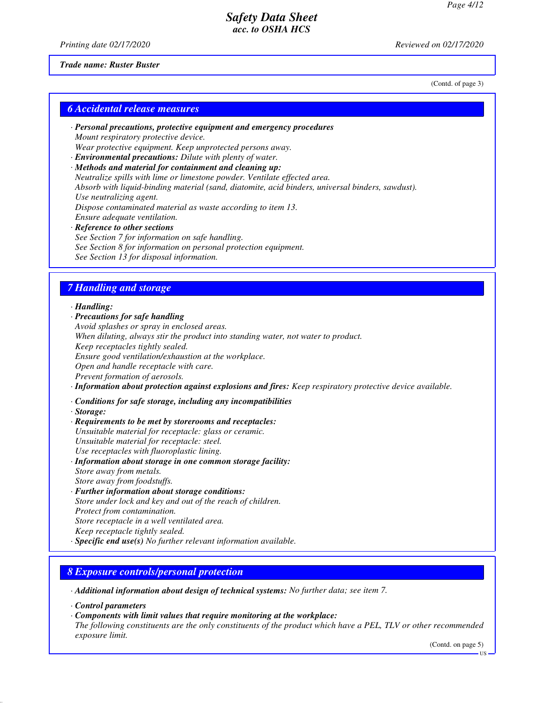(Contd. of page 3)

### *Safety Data Sheet acc. to OSHA HCS*

*Printing date 02/17/2020 Reviewed on 02/17/2020*

#### *Trade name: Ruster Buster*

*6 Accidental release measures*

- *· Personal precautions, protective equipment and emergency procedures Mount respiratory protective device. Wear protective equipment. Keep unprotected persons away.*
- *· Environmental precautions: Dilute with plenty of water. · Methods and material for containment and cleaning up:*
- *Neutralize spills with lime or limestone powder. Ventilate effected area. Absorb with liquid-binding material (sand, diatomite, acid binders, universal binders, sawdust). Use neutralizing agent. Dispose contaminated material as waste according to item 13. Ensure adequate ventilation. · Reference to other sections See Section 7 for information on safe handling. See Section 8 for information on personal protection equipment.*

### *7 Handling and storage*

*See Section 13 for disposal information.*

*· Handling:*

*· Precautions for safe handling Avoid splashes or spray in enclosed areas. When diluting, always stir the product into standing water, not water to product. Keep receptacles tightly sealed. Ensure good ventilation/exhaustion at the workplace. Open and handle receptacle with care. Prevent formation of aerosols.*

*· Information about protection against explosions and fires: Keep respiratory protective device available.*

*· Conditions for safe storage, including any incompatibilities*

*· Storage:*

*· Requirements to be met by storerooms and receptacles: Unsuitable material for receptacle: glass or ceramic. Unsuitable material for receptacle: steel. Use receptacles with fluoroplastic lining. · Information about storage in one common storage facility: Store away from metals.*

*Store away from foodstuffs.*

- *· Further information about storage conditions: Store under lock and key and out of the reach of children. Protect from contamination. Store receptacle in a well ventilated area. Keep receptacle tightly sealed.*
- *· Specific end use(s) No further relevant information available.*

### *8 Exposure controls/personal protection*

*· Additional information about design of technical systems: No further data; see item 7.*

*· Control parameters*

*· Components with limit values that require monitoring at the workplace:*

*The following constituents are the only constituents of the product which have a PEL, TLV or other recommended exposure limit.*

(Contd. on page 5)

US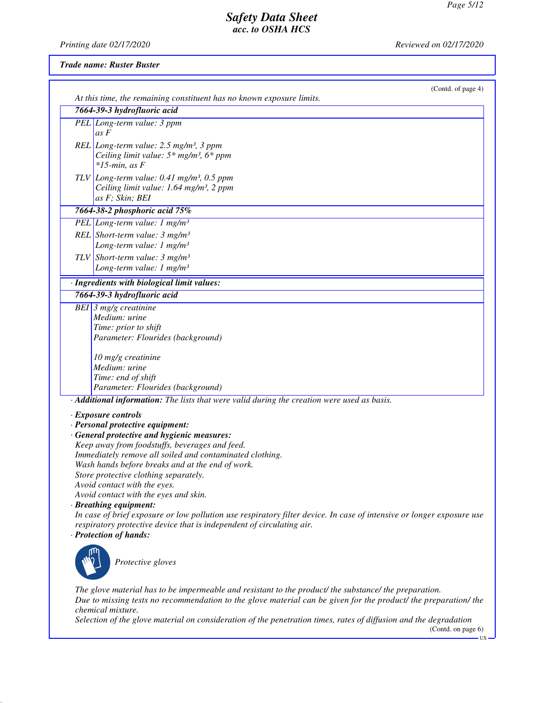US

# *Safety Data Sheet acc. to OSHA HCS*

*Printing date 02/17/2020 Reviewed on 02/17/2020*

### *Trade name: Ruster Buster*

| (Contd. of page 4)                                                                                                                                                                                                                             |
|------------------------------------------------------------------------------------------------------------------------------------------------------------------------------------------------------------------------------------------------|
| At this time, the remaining constituent has no known exposure limits.                                                                                                                                                                          |
| 7664-39-3 hydrofluoric acid                                                                                                                                                                                                                    |
| PEL Long-term value: 3 ppm<br>as F                                                                                                                                                                                                             |
| REL Long-term value: 2.5 mg/m <sup>3</sup> , 3 ppm<br>Ceiling limit value: $5*$ mg/m <sup>3</sup> , $6*$ ppm<br>$*15$ -min, as F                                                                                                               |
| TLV Long-term value: $0.41$ mg/m <sup>3</sup> , $0.5$ ppm<br>Ceiling limit value: 1.64 mg/m <sup>3</sup> , 2 ppm<br>as F; Skin; BEI                                                                                                            |
| 7664-38-2 phosphoric acid 75%                                                                                                                                                                                                                  |
| PEL Long-term value: 1 $mg/m^3$                                                                                                                                                                                                                |
| REL Short-term value: $3 \ mg/m^3$<br>Long-term value: $1 \text{ mg/m}^3$                                                                                                                                                                      |
| TLV Short-term value: $3 \text{ mg/m}^3$<br>Long-term value: $1 \text{ mg/m}^3$                                                                                                                                                                |
| · Ingredients with biological limit values:                                                                                                                                                                                                    |
| 7664-39-3 hydrofluoric acid                                                                                                                                                                                                                    |
| BEI $\beta$ mg/g creatinine                                                                                                                                                                                                                    |
| Medium: urine                                                                                                                                                                                                                                  |
| Time: prior to shift                                                                                                                                                                                                                           |
| Parameter: Flourides (background)                                                                                                                                                                                                              |
| 10 mg/g creatinine                                                                                                                                                                                                                             |
| Medium: urine                                                                                                                                                                                                                                  |
| Time: end of shift                                                                                                                                                                                                                             |
| Parameter: Flourides (background)                                                                                                                                                                                                              |
| · Additional information: The lists that were valid during the creation were used as basis.                                                                                                                                                    |
| · Exposure controls                                                                                                                                                                                                                            |
| · Personal protective equipment:                                                                                                                                                                                                               |
| · General protective and hygienic measures:                                                                                                                                                                                                    |
| Keep away from foodstuffs, beverages and feed.                                                                                                                                                                                                 |
| Immediately remove all soiled and contaminated clothing.                                                                                                                                                                                       |
| Wash hands before breaks and at the end of work.<br>Store protective clothing separately.                                                                                                                                                      |
| Avoid contact with the eyes.                                                                                                                                                                                                                   |
| Avoid contact with the eyes and skin.                                                                                                                                                                                                          |
| · Breathing equipment:                                                                                                                                                                                                                         |
| In case of brief exposure or low pollution use respiratory filter device. In case of intensive or longer exposure use<br>respiratory protective device that is independent of circulating air.                                                 |
| · Protection of hands:                                                                                                                                                                                                                         |
| Protective gloves                                                                                                                                                                                                                              |
| The glove material has to be impermeable and resistant to the product/ the substance/ the preparation.<br>Due to missing tests no recommendation to the glove material can be given for the product/ the preparation/ the<br>chemical mixture. |
| Selection of the glove material on consideration of the penetration times, rates of diffusion and the degradation<br>(Contd. on page 6)                                                                                                        |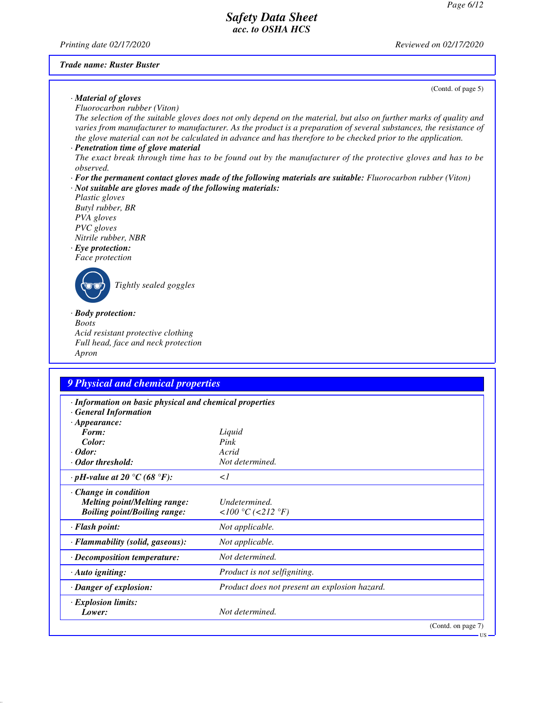*Printing date 02/17/2020 Reviewed on 02/17/2020*

#### *Trade name: Ruster Buster*

(Contd. of page 5)

US

# *· Material of gloves*

*Fluorocarbon rubber (Viton)*

*The selection of the suitable gloves does not only depend on the material, but also on further marks of quality and varies from manufacturer to manufacturer. As the product is a preparation of several substances, the resistance of the glove material can not be calculated in advance and has therefore to be checked prior to the application.*

### *· Penetration time of glove material*

- *The exact break through time has to be found out by the manufacturer of the protective gloves and has to be observed.*
- *· For the permanent contact gloves made of the following materials are suitable: Fluorocarbon rubber (Viton) · Not suitable are gloves made of the following materials:*
- *Plastic gloves Butyl rubber, BR PVA gloves PVC gloves Nitrile rubber, NBR*

#### *· Eye protection: Face protection*



\_R*Tightly sealed goggles*

#### *· Body protection: Boots*

*Acid resistant protective clothing Full head, face and neck protection Apron*

# *9 Physical and chemical properties*

| · Information on basic physical and chemical properties<br><b>General Information</b>                     |                                               |
|-----------------------------------------------------------------------------------------------------------|-----------------------------------------------|
| $\cdot$ Appearance:                                                                                       |                                               |
| Form:                                                                                                     | Liquid                                        |
| Color:                                                                                                    | Pink                                          |
| $\cdot$ Odor:                                                                                             | Acrid                                         |
| Odor threshold:                                                                                           | Not determined.                               |
| $\cdot$ pH-value at 20 $\degree$ C (68 $\degree$ F):                                                      | $\langle$ 1                                   |
| $\cdot$ Change in condition<br><b>Melting point/Melting range:</b><br><b>Boiling point/Boiling range:</b> | Undetermined.<br><100 °C (<212 °F)            |
| · Flash point:                                                                                            | Not applicable.                               |
| · Flammability (solid, gaseous):                                                                          | Not applicable.                               |
| · Decomposition temperature:                                                                              | Not determined.                               |
| $\cdot$ Auto igniting:                                                                                    | Product is not selfigniting.                  |
| · Danger of explosion:                                                                                    | Product does not present an explosion hazard. |
| $\cdot$ Explosion limits:<br>Lower:                                                                       | Not determined.                               |
|                                                                                                           | (Contd. on page 7)                            |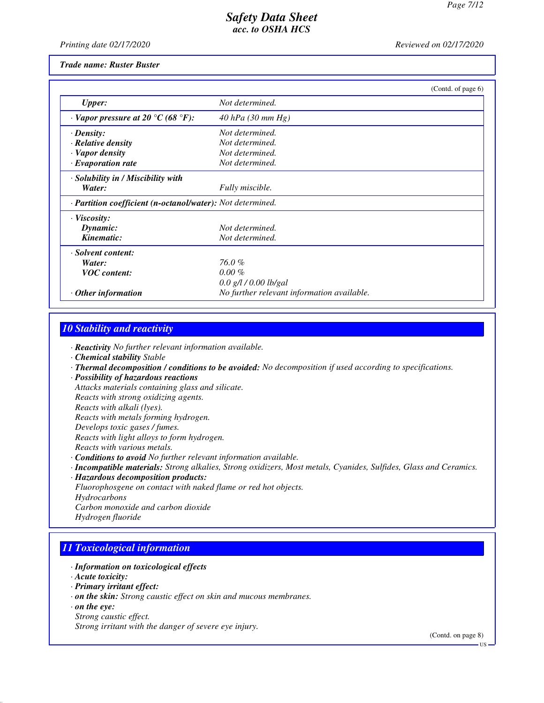*Printing date 02/17/2020 Reviewed on 02/17/2020*

#### *Trade name: Ruster Buster*

|                                                            |                                            | (Contd. of page 6) |
|------------------------------------------------------------|--------------------------------------------|--------------------|
| <b>Upper:</b>                                              | Not determined.                            |                    |
| $\cdot$ Vapor pressure at 20 °C (68 °F):                   | 40 hPa $(30 \, mm \, Hg)$                  |                    |
| $\cdot$ Density:                                           | Not determined.                            |                    |
| $\cdot$ Relative density                                   | Not determined.                            |                    |
| · Vapor density                                            | Not determined.                            |                    |
| $\cdot$ Evaporation rate                                   | Not determined.                            |                    |
| · Solubility in / Miscibility with                         |                                            |                    |
| Water:                                                     | Fully miscible.                            |                    |
| · Partition coefficient (n-octanol/water): Not determined. |                                            |                    |
| $\cdot$ Viscosity:                                         |                                            |                    |
| Dynamic:                                                   | Not determined.                            |                    |
| Kinematic:                                                 | Not determined.                            |                    |
| · Solvent content:                                         |                                            |                    |
| Water:                                                     | 76.0%                                      |                    |
| <b>VOC</b> content:                                        | $0.00 \%$                                  |                    |
|                                                            | $0.0$ g/l $/0.00$ lb/gal                   |                    |
| $\cdot$ Other information                                  | No further relevant information available. |                    |

### *10 Stability and reactivity*

*· Reactivity No further relevant information available.*

- *· Chemical stability Stable*
- *· Thermal decomposition / conditions to be avoided: No decomposition if used according to specifications.*
- *· Possibility of hazardous reactions*

*Attacks materials containing glass and silicate. Reacts with strong oxidizing agents. Reacts with alkali (lyes). Reacts with metals forming hydrogen. Develops toxic gases / fumes. Reacts with light alloys to form hydrogen. Reacts with various metals. · Conditions to avoid No further relevant information available.*

- *· Incompatible materials: Strong alkalies, Strong oxidizers, Most metals, Cyanides, Sulfides, Glass and Ceramics.*
- *· Hazardous decomposition products:*
- *Fluorophosgene on contact with naked flame or red hot objects.*
- *Hydrocarbons*
- *Carbon monoxide and carbon dioxide*
- *Hydrogen fluoride*

# *11 Toxicological information*

- *· Information on toxicological effects*
- *· Acute toxicity:*
- *· Primary irritant effect:*
- *· on the skin: Strong caustic effect on skin and mucous membranes.*
- *· on the eye:*
- *Strong caustic effect.*

*Strong irritant with the danger of severe eye injury.*

(Contd. on page 8)

US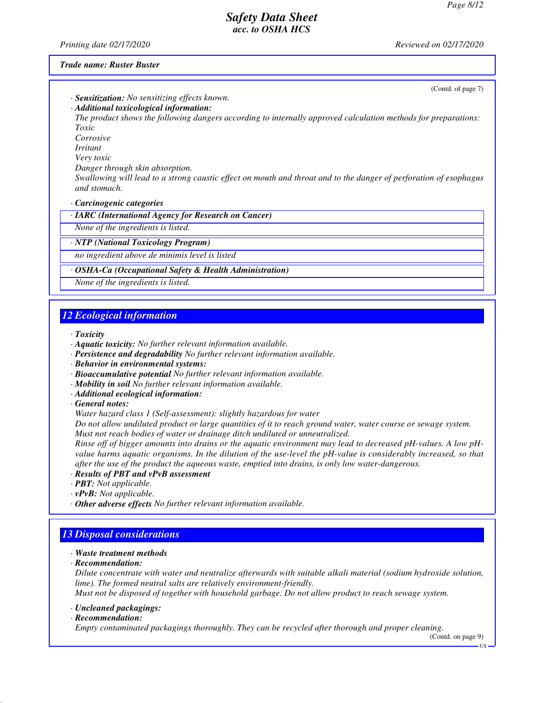*Printing date 02/17/2020 Reviewed on 02/17/2020*

#### *Trade name: Ruster Buster*

(Contd. of page 7)

*· Sensitization: No sensitizing effects known. · Additional toxicological information:*

*The product shows the following dangers according to internally approved calculation methods for preparations: Toxic*

*Corrosive*

*Irritant*

*Very toxic*

*Danger through skin absorption.*

*Swallowing will lead to a strong caustic effect on mouth and throat and to the danger of perforation of esophagus and stomach.*

*· Carcinogenic categories*

*· IARC (International Agency for Research on Cancer)*

*None of the ingredients is listed.*

*· NTP (National Toxicology Program)*

*no ingredient above de minimis level is listed*

#### *· OSHA-Ca (Occupational Safety & Health Administration)*

*None of the ingredients is listed.*

### *12 Ecological information*

*· Toxicity*

- *· Aquatic toxicity: No further relevant information available.*
- *· Persistence and degradability No further relevant information available.*
- *· Behavior in environmental systems:*
- *· Bioaccumulative potential No further relevant information available.*
- *· Mobility in soil No further relevant information available.*
- *· Additional ecological information:*

*· General notes:*

*Water hazard class 1 (Self-assessment): slightly hazardous for water*

*Do not allow undiluted product or large quantities of it to reach ground water, water course or sewage system. Must not reach bodies of water or drainage ditch undiluted or unneutralized.*

*Rinse off of bigger amounts into drains or the aquatic environment may lead to decreased pH-values. A low pHvalue harms aquatic organisms. In the dilution of the use-level the pH-value is considerably increased, so that after the use of the product the aqueous waste, emptied into drains, is only low water-dangerous.*

- *· Results of PBT and vPvB assessment*
- *· PBT: Not applicable.*
- *· vPvB: Not applicable.*
- *· Other adverse effects No further relevant information available.*

### *13 Disposal considerations*

- *· Waste treatment methods*
- *· Recommendation:*

*Dilute concentrate with water and neutralize afterwards with suitable alkali material (sodium hydroxide solution, lime). The formed neutral salts are relatively environment-friendly.*

*Must not be disposed of together with household garbage. Do not allow product to reach sewage system.*

#### *· Uncleaned packagings:*

*· Recommendation:*

*Empty contaminated packagings thoroughly. They can be recycled after thorough and proper cleaning.*

(Contd. on page 9)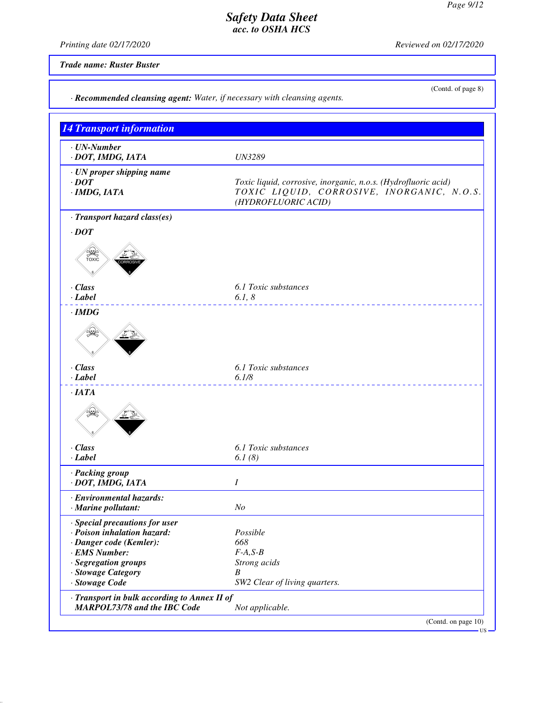*Printing date 02/17/2020 Reviewed on 02/17/2020*

*Trade name: Ruster Buster*

(Contd. of page 8)

| <b>14 Transport information</b>                                       |                                                                                                                                     |
|-----------------------------------------------------------------------|-------------------------------------------------------------------------------------------------------------------------------------|
| $\cdot$ UN-Number<br>· DOT, IMDG, IATA                                | <b>UN3289</b>                                                                                                                       |
| · UN proper shipping name<br>$\cdot$ <i>DOT</i><br>$\cdot$ IMDG, IATA | Toxic liquid, corrosive, inorganic, n.o.s. (Hydrofluoric acid)<br>TOXIC LIQUID, CORROSIVE, INORGANIC, N.O.S.<br>(HYDROFLUORIC ACID) |
| · Transport hazard class(es)                                          |                                                                                                                                     |
| $\cdot$ <i>DOT</i>                                                    |                                                                                                                                     |
| <b>PAC</b><br>TOXIC                                                   |                                                                                                                                     |
| $\cdot$ Class                                                         | 6.1 Toxic substances                                                                                                                |
| $-Label$                                                              | 6.1, 8                                                                                                                              |
| $\cdot$ IMDG                                                          |                                                                                                                                     |
| $\cdot$ Class                                                         | 6.1 Toxic substances                                                                                                                |
| $-Label$                                                              | 6.1/8                                                                                                                               |
| $\cdot$ IATA                                                          |                                                                                                                                     |
| $\cdot$ Class<br>$\cdot$ Label                                        | 6.1 Toxic substances<br>6.1(8)                                                                                                      |
|                                                                       |                                                                                                                                     |
| · Packing group<br>· DOT, IMDG, IATA                                  | Ι                                                                                                                                   |
|                                                                       |                                                                                                                                     |
| · Environmental hazards:<br>· Marine pollutant:                       | N <sub>O</sub>                                                                                                                      |
|                                                                       |                                                                                                                                     |
| · Special precautions for user                                        | Possible                                                                                                                            |
| · Poison inhalation hazard:                                           | 668                                                                                                                                 |
| · Danger code (Kemler):<br>· EMS Number:                              | $F-A, S-B$                                                                                                                          |
| · Segregation groups                                                  | Strong acids                                                                                                                        |
| · Stowage Category                                                    | B                                                                                                                                   |
| · Stowage Code                                                        | SW2 Clear of living quarters.                                                                                                       |

(Contd. on page 10)  $-$  US  $-$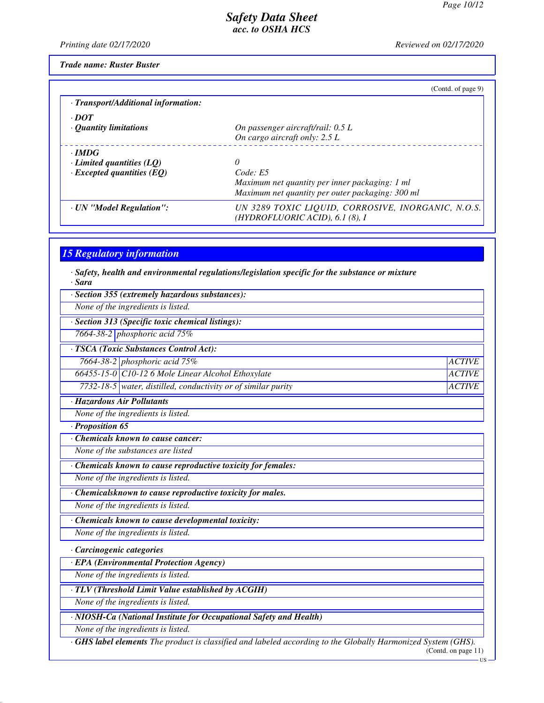*Printing date 02/17/2020 Reviewed on 02/17/2020*

*Trade name: Ruster Buster*

|                                     | (Contd. of page 9)                                 |
|-------------------------------------|----------------------------------------------------|
| · Transport/Additional information: |                                                    |
| $\cdot$ DOT                         |                                                    |
| $\cdot$ Quantity limitations        | On passenger aircraft/rail: 0.5 L                  |
|                                     | On cargo aircraft only: 2.5 L                      |
| $\cdot$ IMDG                        |                                                    |
| $\cdot$ Limited quantities (LQ)     | 0                                                  |
| $\cdot$ Excepted quantities (EQ)    | Code: E5                                           |
|                                     | Maximum net quantity per inner packaging: 1 ml     |
|                                     | Maximum net quantity per outer packaging: 300 ml   |
| · UN "Model Regulation":            | UN 3289 TOXIC LIQUID, CORROSIVE, INORGANIC, N.O.S. |
|                                     | (HYDROFLUORIC ACID), 6.1 (8), I                    |

# *15 Regulatory information*

*· Safety, health and environmental regulations/legislation specific for the substance or mixture · Sara*

| · Section 355 (extremely hazardous substances):                                                                     |                                      |
|---------------------------------------------------------------------------------------------------------------------|--------------------------------------|
| None of the ingredients is listed.                                                                                  |                                      |
| · Section 313 (Specific toxic chemical listings):                                                                   |                                      |
| 7664-38-2 phosphoric acid 75%                                                                                       |                                      |
| · TSCA (Toxic Substances Control Act):                                                                              |                                      |
| 7664-38-2 phosphoric acid 75%                                                                                       | <b>ACTIVE</b>                        |
| 66455-15-0 C10-12 6 Mole Linear Alcohol Ethoxylate                                                                  | <b>ACTIVE</b>                        |
| 7732-18-5 water, distilled, conductivity or of similar purity                                                       | <b>ACTIVE</b>                        |
| · Hazardous Air Pollutants                                                                                          |                                      |
| None of the ingredients is listed.                                                                                  |                                      |
| $\cdot$ Proposition 65                                                                                              |                                      |
| Chemicals known to cause cancer:                                                                                    |                                      |
| None of the substances are listed                                                                                   |                                      |
| Chemicals known to cause reproductive toxicity for females:                                                         |                                      |
| None of the ingredients is listed.                                                                                  |                                      |
| · Chemicalsknown to cause reproductive toxicity for males.                                                          |                                      |
| None of the ingredients is listed.                                                                                  |                                      |
| $\overline{\cdot}$ Chemicals known to cause developmental toxicity:                                                 |                                      |
| None of the ingredients is listed.                                                                                  |                                      |
| · Carcinogenic categories                                                                                           |                                      |
| · EPA (Environmental Protection Agency)                                                                             |                                      |
| None of the ingredients is listed.                                                                                  |                                      |
| · TLV (Threshold Limit Value established by ACGIH)                                                                  |                                      |
| None of the ingredients is listed.                                                                                  |                                      |
| · NIOSH-Ca (National Institute for Occupational Safety and Health)                                                  |                                      |
| None of the ingredients is listed.                                                                                  |                                      |
| <b>·GHS label elements</b> The product is classified and labeled according to the Globally Harmonized System (GHS). | (Cond. on page 11)<br>$\overline{u}$ |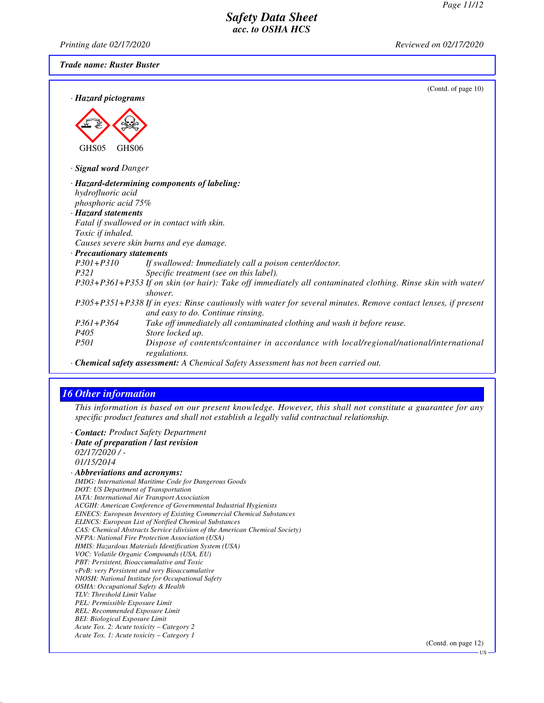*Printing date 02/17/2020 Reviewed on 02/17/2020*

*Trade name: Ruster Buster*

| · Hazard pictograms        | (Contd. of page $10$ )                                                                                                                             |
|----------------------------|----------------------------------------------------------------------------------------------------------------------------------------------------|
|                            |                                                                                                                                                    |
|                            |                                                                                                                                                    |
|                            |                                                                                                                                                    |
| GHS05<br>GHS <sub>06</sub> |                                                                                                                                                    |
|                            |                                                                                                                                                    |
| <b>Signal word Danger</b>  |                                                                                                                                                    |
|                            | · Hazard-determining components of labeling:                                                                                                       |
| hydrofluoric acid          |                                                                                                                                                    |
| phosphoric acid 75%        |                                                                                                                                                    |
| · Hazard statements        |                                                                                                                                                    |
|                            | Fatal if swallowed or in contact with skin.                                                                                                        |
| Toxic if inhaled.          |                                                                                                                                                    |
|                            | Causes severe skin burns and eye damage.                                                                                                           |
| · Precautionary statements |                                                                                                                                                    |
| $P301 + P310$              | If swallowed: Immediately call a poison center/doctor.                                                                                             |
| <i>P321</i>                | Specific treatment (see on this label).                                                                                                            |
|                            | P303+P361+P353 If on skin (or hair): Take off immediately all contaminated clothing. Rinse skin with water/                                        |
|                            | shower.                                                                                                                                            |
|                            | P305+P351+P338 If in eyes: Rinse cautiously with water for several minutes. Remove contact lenses, if present<br>and easy to do. Continue rinsing. |
| $P361 + P364$              | Take off immediately all contaminated clothing and wash it before reuse.                                                                           |
| P <sub>405</sub>           | Store locked up.                                                                                                                                   |
| <i>P501</i>                | Dispose of contents/container in accordance with local/regional/national/international<br>regulations.                                             |
|                            | · Chemical safety assessment: A Chemical Safety Assessment has not been carried out.                                                               |

### *16 Other information*

*This information is based on our present knowledge. However, this shall not constitute a guarantee for any specific product features and shall not establish a legally valid contractual relationship.*

*· Contact: Product Safety Department*

*· Date of preparation / last revision 02/17/2020 / - 01/15/2014 · Abbreviations and acronyms: IMDG: International Maritime Code for Dangerous Goods DOT: US Department of Transportation IATA: International Air Transport Association ACGIH: American Conference of Governmental Industrial Hygienists EINECS: European Inventory of Existing Commercial Chemical Substances ELINCS: European List of Notified Chemical Substances CAS: Chemical Abstracts Service (division of the American Chemical Society) NFPA: National Fire Protection Association (USA) HMIS: Hazardous Materials Identification System (USA) VOC: Volatile Organic Compounds (USA, EU) PBT: Persistent, Bioaccumulative and Toxic vPvB: very Persistent and very Bioaccumulative NIOSH: National Institute for Occupational Safety OSHA: Occupational Safety & Health TLV: Threshold Limit Value PEL: Permissible Exposure Limit REL: Recommended Exposure Limit BEI: Biological Exposure Limit Acute Tox. 2: Acute toxicity – Category 2 Acute Tox. 1: Acute toxicity – Category 1*

(Contd. on page 12)

US